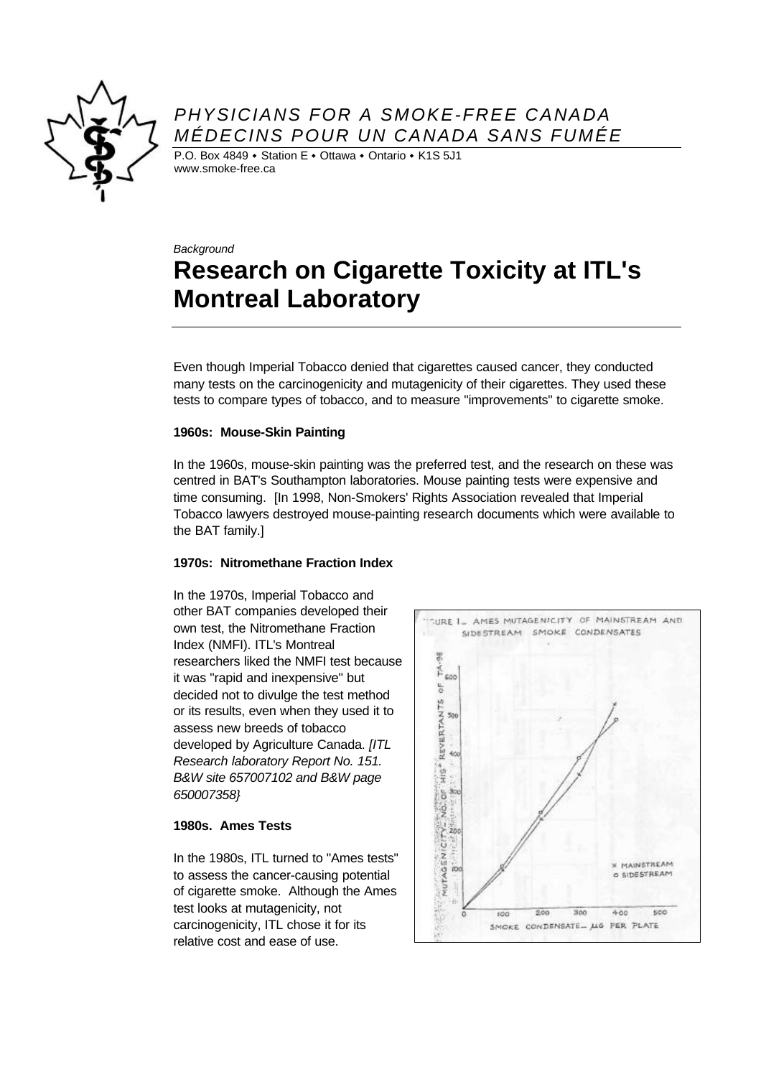

## *PHYSICIANS FOR A SMOKE-FREE CANADA MÉDECINS POUR UN CANADA SANS FUMÉE*

P.O. Box 4849 • Station E • Ottawa • Ontario • K1S 5J1 www.smoke-free.ca

### *Background*

# **Research on Cigarette Toxicity at ITL's Montreal Laboratory**

Even though Imperial Tobacco denied that cigarettes caused cancer, they conducted many tests on the carcinogenicity and mutagenicity of their cigarettes. They used these tests to compare types of tobacco, and to measure "improvements" to cigarette smoke.

#### **1960s: Mouse-Skin Painting**

In the 1960s, mouse-skin painting was the preferred test, and the research on these was centred in BAT's Southampton laboratories. Mouse painting tests were expensive and time consuming. [In 1998, Non-Smokers' Rights Association revealed that Imperial Tobacco lawyers destroyed mouse-painting research documents which were available to the BAT family.]

#### **1970s: Nitromethane Fraction Index**

In the 1970s, Imperial Tobacco and other BAT companies developed their own test, the Nitromethane Fraction Index (NMFI). ITL's Montreal researchers liked the NMFI test because it was "rapid and inexpensive" but decided not to divulge the test method or its results, even when they used it to assess new breeds of tobacco developed by Agriculture Canada. *[ITL Research laboratory Report No. 151. B&W site 657007102 and B&W page 650007358}*

#### **1980s. Ames Tests**

In the 1980s, ITL turned to "Ames tests" to assess the cancer-causing potential of cigarette smoke. Although the Ames test looks at mutagenicity, not carcinogenicity, ITL chose it for its relative cost and ease of use.